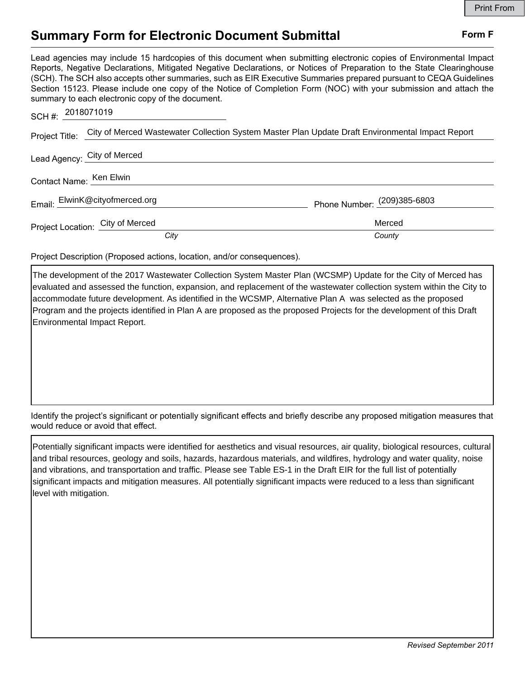## **Summary Form for Electronic Document Submittal Form F Form F**

Lead agencies may include 15 hardcopies of this document when submitting electronic copies of Environmental Impact Reports, Negative Declarations, Mitigated Negative Declarations, or Notices of Preparation to the State Clearinghouse (SCH). The SCH also accepts other summaries, such as EIR Executive Summaries prepared pursuant to CEQA Guidelines Section 15123. Please include one copy of the Notice of Completion Form (NOC) with your submission and attach the summary to each electronic copy of the document.

| SCH#: 2018071019        |                                  |                                                                                                                 |
|-------------------------|----------------------------------|-----------------------------------------------------------------------------------------------------------------|
|                         |                                  | Project Title: City of Merced Wastewater Collection System Master Plan Update Draft Environmental Impact Report |
|                         | Lead Agency: City of Merced      |                                                                                                                 |
| Contact Name: Ken Elwin |                                  |                                                                                                                 |
|                         | Email: ElwinK@cityofmerced.org   | Phone Number: (209)385-6803                                                                                     |
|                         | Project Location: City of Merced | Merced                                                                                                          |
|                         | City                             | County                                                                                                          |

Project Description (Proposed actions, location, and/or consequences).

The development of the 2017 Wastewater Collection System Master Plan (WCSMP) Update for the City of Merced has evaluated and assessed the function, expansion, and replacement of the wastewater collection system within the City to accommodate future development. As identified in the WCSMP, Alternative Plan A was selected as the proposed Program and the projects identified in Plan A are proposed as the proposed Projects for the development of this Draft Environmental Impact Report.

Identify the project's significant or potentially significant effects and briefly describe any proposed mitigation measures that would reduce or avoid that effect.

Potentially significant impacts were identified for aesthetics and visual resources, air quality, biological resources, cultural and tribal resources, geology and soils, hazards, hazardous materials, and wildfires, hydrology and water quality, noise and vibrations, and transportation and traffic. Please see Table ES-1 in the Draft EIR for the full list of potentially significant impacts and mitigation measures. All potentially significant impacts were reduced to a less than significant level with mitigation.